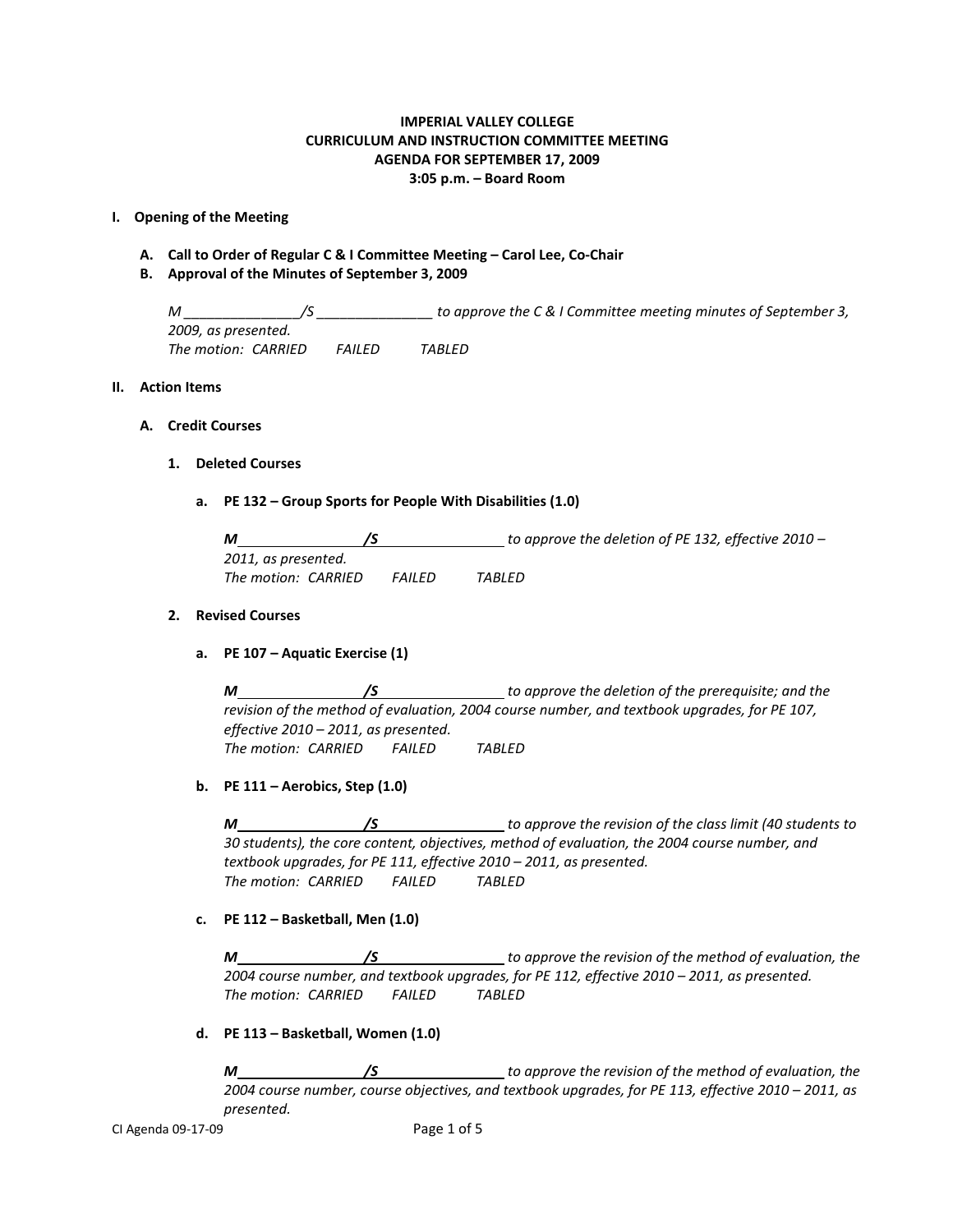## **IMPERIAL VALLEY COLLEGE CURRICULUM AND INSTRUCTION COMMITTEE MEETING AGENDA FOR SEPTEMBER 17, 2009 3:05 p.m. – Board Room**

## **I. Opening of the Meeting**

- **A. Call to Order of Regular C & I Committee Meeting – Carol Lee, Co-Chair**
- **B. Approval of the Minutes of September 3, 2009**

*M \_\_\_\_\_\_\_\_\_\_\_\_\_\_\_/S \_\_\_\_\_\_\_\_\_\_\_\_\_\_\_ to approve the C & I Committee meeting minutes of September 3, 2009, as presented. The motion: CARRIED FAILED TABLED*

## **II. Action Items**

## **A. Credit Courses**

## **1. Deleted Courses**

**a. PE 132 – Group Sports for People With Disabilities (1.0)**

| M                   |         | to approve the deletion of PE 132, effective 2010 – |
|---------------------|---------|-----------------------------------------------------|
| 2011, as presented. |         |                                                     |
| The motion: CARRIED | FAILFD. | TARLFD                                              |

## **2. Revised Courses**

**a. PE 107 – Aquatic Exercise (1)**

*M /S to approve the deletion of the prerequisite; and the revision of the method of evaluation, 2004 course number, and textbook upgrades, for PE 107, effective 2010 – 2011, as presented. The motion: CARRIED FAILED TABLED*

**b. PE 111 – Aerobics, Step (1.0)**

*M /S to approve the revision of the class limit (40 students to 30 students), the core content, objectives, method of evaluation, the 2004 course number, and textbook upgrades, for PE 111, effective 2010 – 2011, as presented. The motion: CARRIED FAILED TABLED*

**c. PE 112 – Basketball, Men (1.0)**

*M /S* // *to approve the revision of the method of evaluation, the 2004 course number, and textbook upgrades, for PE 112, effective 2010 – 2011, as presented. The motion: CARRIED FAILED TABLED*

**d. PE 113 – Basketball, Women (1.0)**

*M /S to approve the revision of the method of evaluation, the 2004 course number, course objectives, and textbook upgrades, for PE 113, effective 2010 – 2011, as presented.*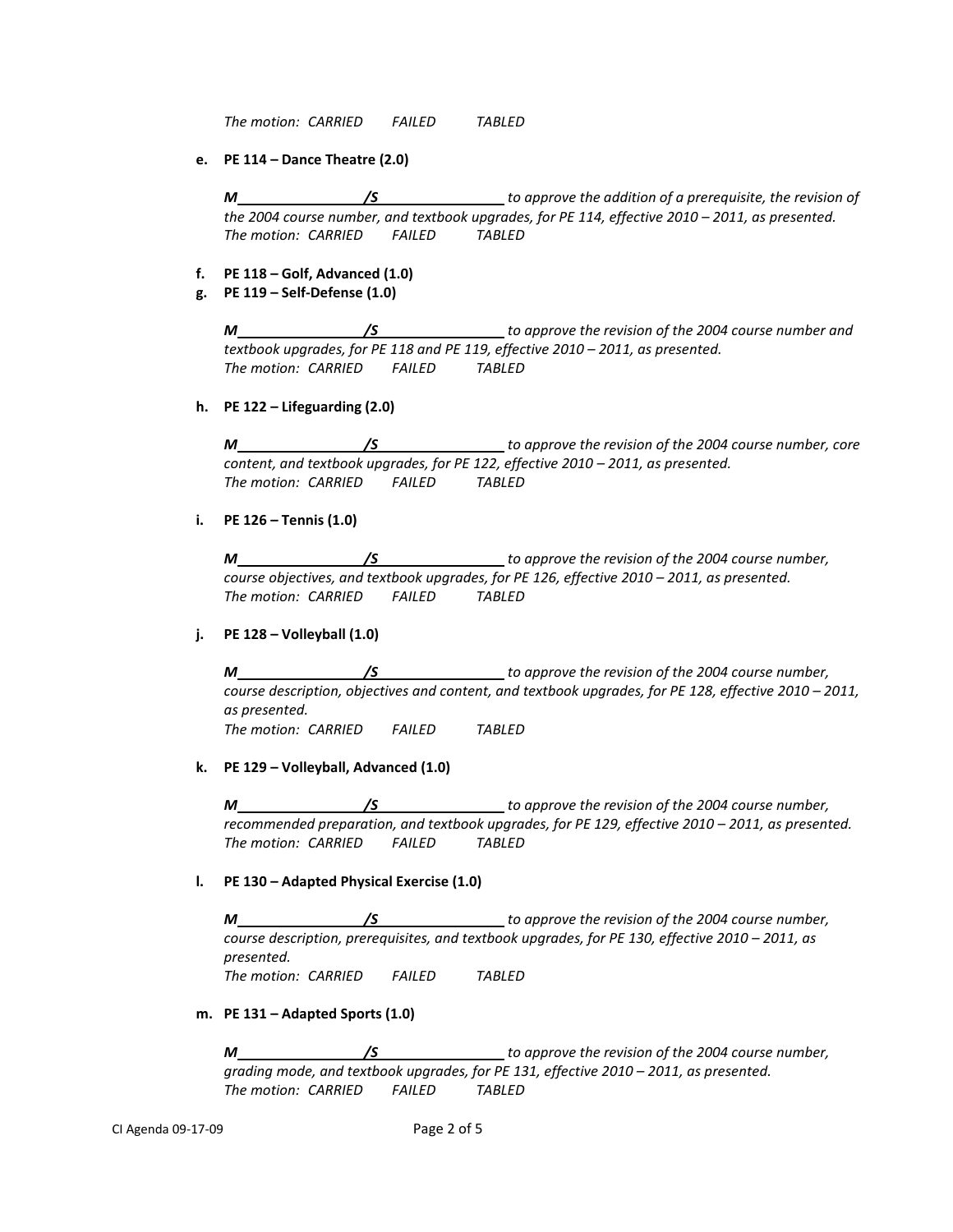*The motion: CARRIED FAILED TABLED*

**e. PE 114 – Dance Theatre (2.0)**

*M /S* // *to approve the addition of a prerequisite, the revision of the 2004 course number, and textbook upgrades, for PE 114, effective 2010 – 2011, as presented. The motion: CARRIED FAILED TABLED*

- **f. PE 118 – Golf, Advanced (1.0)**
- **g. PE 119 – Self-Defense (1.0)**

*M /S to approve the revision of the 2004 course number and textbook upgrades, for PE 118 and PE 119, effective 2010 – 2011, as presented. The motion: CARRIED FAILED TABLED*

**h. PE 122 – Lifeguarding (2.0)**

*M /S /S to approve the revision of the 2004 course number, core content, and textbook upgrades, for PE 122, effective 2010 – 2011, as presented. The motion: CARRIED FAILED TABLED*

**i. PE 126 – Tennis (1.0)**

*M /S to approve the revision of the 2004 course number, course objectives, and textbook upgrades, for PE 126, effective 2010 – 2011, as presented. The motion: CARRIED FAILED TABLED*

**j. PE 128 – Volleyball (1.0)**

*M /S to approve the revision of the 2004 course number, course description, objectives and content, and textbook upgrades, for PE 128, effective 2010 – 2011, as presented. The motion: CARRIED FAILED TABLED*

**k. PE 129 – Volleyball, Advanced (1.0)**

*M /S to approve the revision of the 2004 course number, recommended preparation, and textbook upgrades, for PE 129, effective 2010 – 2011, as presented. The motion: CARRIED FAILED TABLED*

**l. PE 130 – Adapted Physical Exercise (1.0)**

*M /S to approve the revision of the 2004 course number, course description, prerequisites, and textbook upgrades, for PE 130, effective 2010 – 2011, as presented. The motion: CARRIED FAILED TABLED*

**m. PE 131 – Adapted Sports (1.0)**

*M /S to approve the revision of the 2004 course number, grading mode, and textbook upgrades, for PE 131, effective 2010 – 2011, as presented. The motion: CARRIED FAILED TABLED*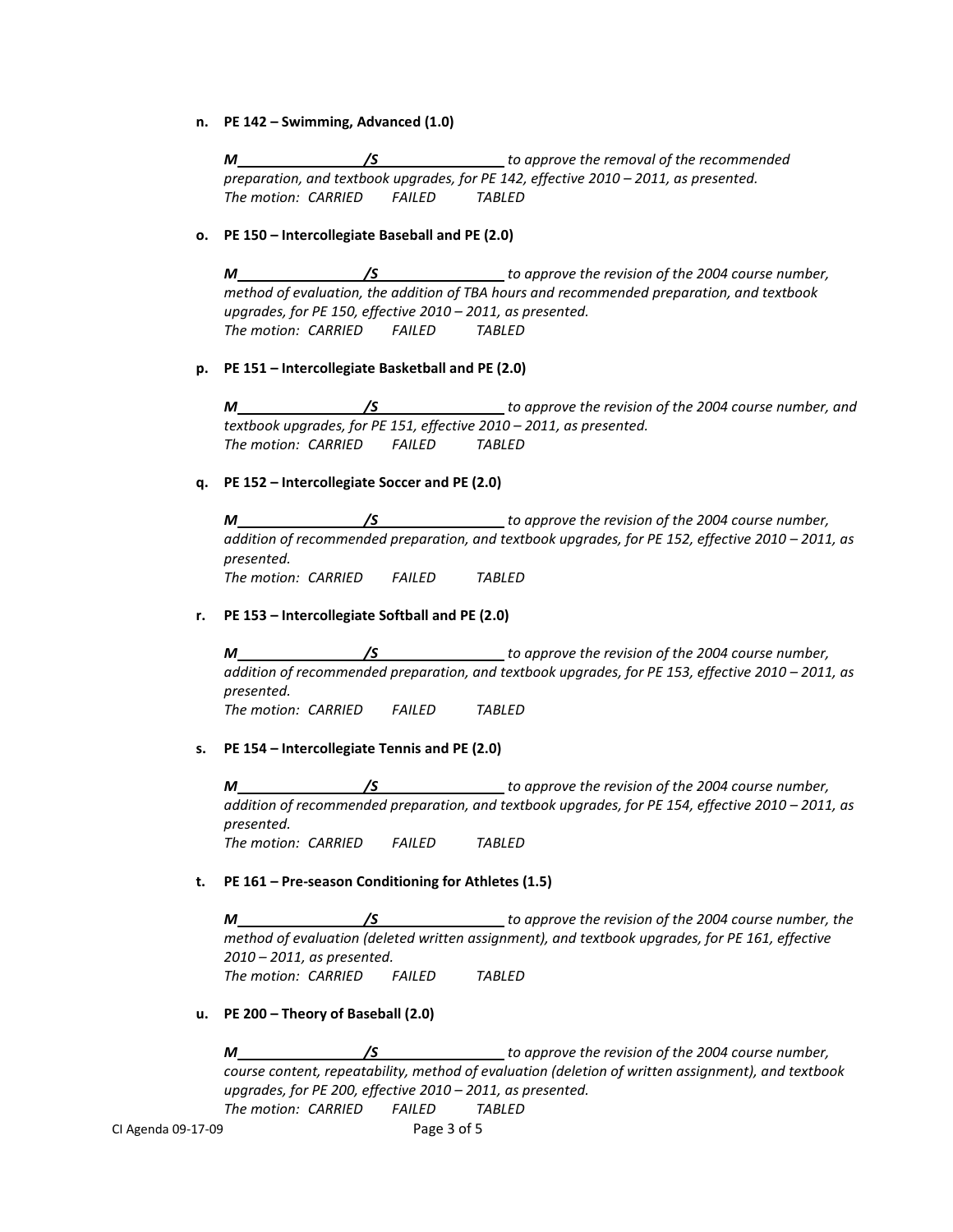**n. PE 142 – Swimming, Advanced (1.0)**

*M /S to approve the removal of the recommended preparation, and textbook upgrades, for PE 142, effective 2010 – 2011, as presented. The motion: CARRIED FAILED TABLED*

## **o. PE 150 – Intercollegiate Baseball and PE (2.0)**

*M /S to approve the revision of the 2004 course number, method of evaluation, the addition of TBA hours and recommended preparation, and textbook upgrades, for PE 150, effective 2010 – 2011, as presented. The motion: CARRIED FAILED TABLED*

## **p. PE 151 – Intercollegiate Basketball and PE (2.0)**

*M /S to approve the revision of the 2004 course number, and textbook upgrades, for PE 151, effective 2010 – 2011, as presented. The motion: CARRIED FAILED TABLED*

## **q. PE 152 – Intercollegiate Soccer and PE (2.0)**

*M /S to approve the revision of the 2004 course number, addition of recommended preparation, and textbook upgrades, for PE 152, effective 2010 – 2011, as presented. The motion: CARRIED FAILED TABLED*

# **r. PE 153 – Intercollegiate Softball and PE (2.0)**

*M /S to approve the revision of the 2004 course number, addition of recommended preparation, and textbook upgrades, for PE 153, effective 2010 – 2011, as presented. The motion: CARRIED FAILED TABLED*

#### **s. PE 154 – Intercollegiate Tennis and PE (2.0)**

*M /S to approve the revision of the 2004 course number, addition of recommended preparation, and textbook upgrades, for PE 154, effective 2010 – 2011, as presented. The motion: CARRIED FAILED TABLED*

# **t. PE 161 – Pre-season Conditioning for Athletes (1.5)**

*M /S to approve the revision of the 2004 course number, the method of evaluation (deleted written assignment), and textbook upgrades, for PE 161, effective 2010 – 2011, as presented. The motion: CARRIED FAILED TABLED*

#### **u. PE 200 – Theory of Baseball (2.0)**

*M /S to approve the revision of the 2004 course number, course content, repeatability, method of evaluation (deletion of written assignment), and textbook upgrades, for PE 200, effective 2010 – 2011, as presented. The motion: CARRIED FAILED TABLED*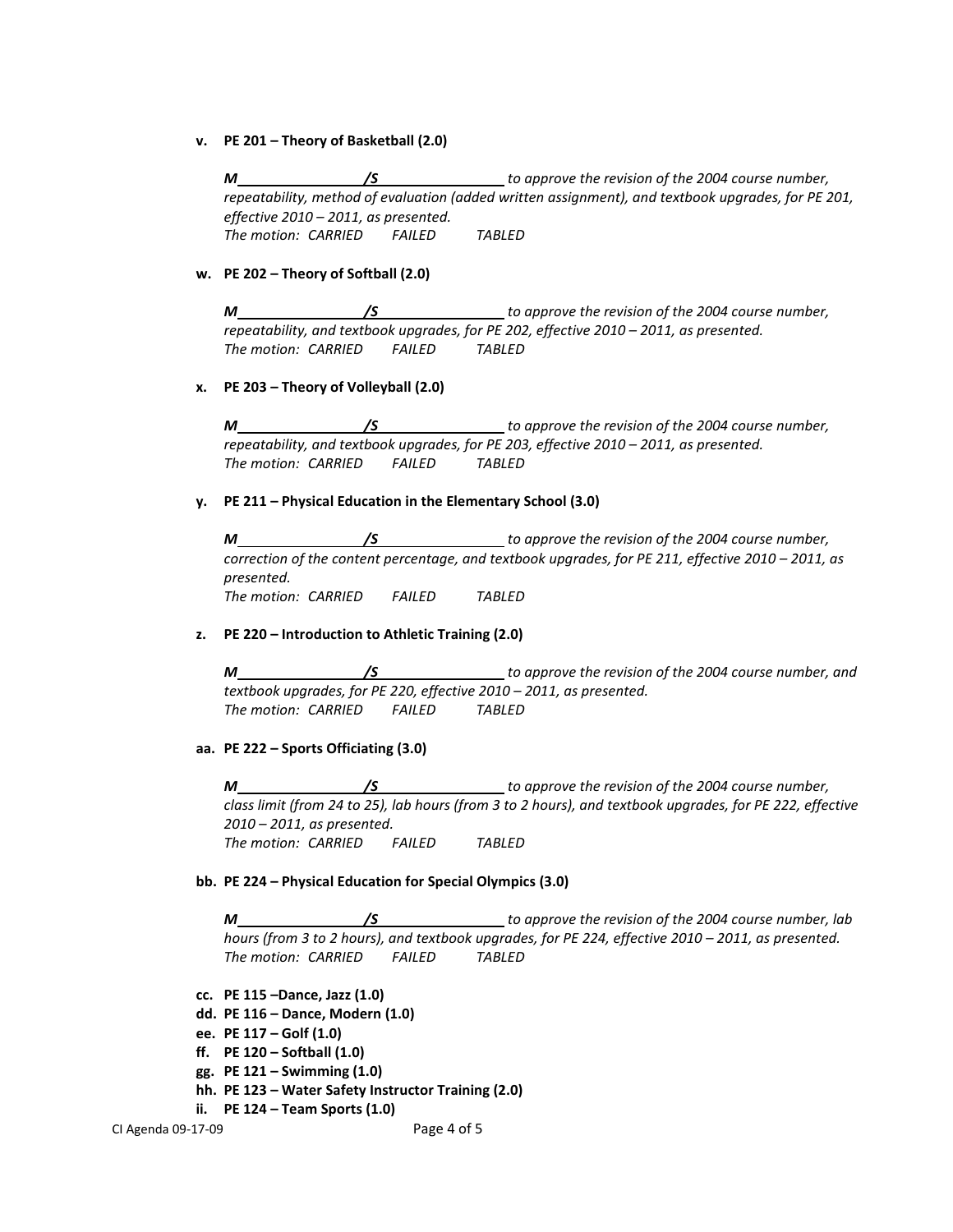**v. PE 201 – Theory of Basketball (2.0)**

*M /S to approve the revision of the 2004 course number, repeatability, method of evaluation (added written assignment), and textbook upgrades, for PE 201, effective 2010 – 2011, as presented. The motion: CARRIED FAILED TABLED*

**w. PE 202 – Theory of Softball (2.0)**

*M /S to approve the revision of the 2004 course number, repeatability, and textbook upgrades, for PE 202, effective 2010 – 2011, as presented. The motion: CARRIED FAILED TABLED*

## **x. PE 203 – Theory of Volleyball (2.0)**

*M /S to approve the revision of the 2004 course number, repeatability, and textbook upgrades, for PE 203, effective 2010 – 2011, as presented. The motion: CARRIED FAILED TABLED*

## **y. PE 211 – Physical Education in the Elementary School (3.0)**

*M /S to approve the revision of the 2004 course number, correction of the content percentage, and textbook upgrades, for PE 211, effective 2010 – 2011, as presented. The motion: CARRIED FAILED TABLED*

**z. PE 220 – Introduction to Athletic Training (2.0)**

*M /S to approve the revision of the 2004 course number, and textbook upgrades, for PE 220, effective 2010 – 2011, as presented. The motion: CARRIED FAILED TABLED*

# **aa. PE 222 – Sports Officiating (3.0)**

*M /S to approve the revision of the 2004 course number, class limit (from 24 to 25), lab hours (from 3 to 2 hours), and textbook upgrades, for PE 222, effective 2010 – 2011, as presented. The motion: CARRIED FAILED TABLED*

# **bb. PE 224 – Physical Education for Special Olympics (3.0)**

*M /S to approve the revision of the 2004 course number, lab hours (from 3 to 2 hours), and textbook upgrades, for PE 224, effective 2010 – 2011, as presented. The motion: CARRIED FAILED TABLED*

- **cc. PE 115 –Dance, Jazz (1.0)**
- **dd. PE 116 – Dance, Modern (1.0)**
- **ee. PE 117 – Golf (1.0)**
- **ff. PE 120 – Softball (1.0)**
- **gg. PE 121 – Swimming (1.0)**
- **hh. PE 123 – Water Safety Instructor Training (2.0)**
- **ii. PE 124 – Team Sports (1.0)**